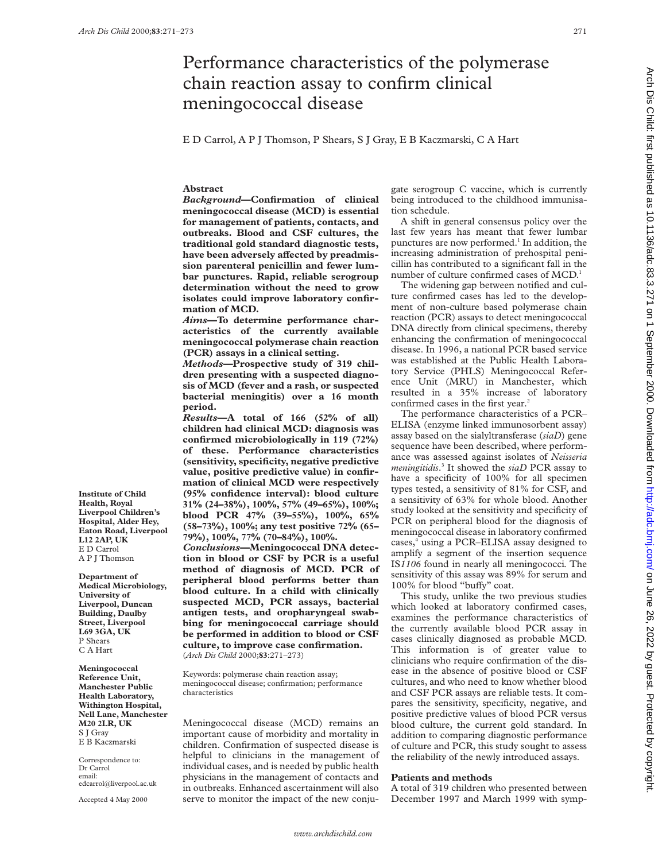# Performance characteristics of the polymerase chain reaction assay to confirm clinical meningococcal disease

E D Carrol, A P J Thomson, P Shears, S J Gray, E B Kaczmarski, C A Hart

#### **Abstract**

*Background***—Confirmation of clinical meningococcal disease (MCD) is essential for management of patients, contacts, and outbreaks. Blood and CSF cultures, the traditional gold standard diagnostic tests,** have been adversely affected by preadmis**sion parenteral penicillin and fewer lumbar punctures. Rapid, reliable serogroup determination without the need to grow isolates could improve laboratory confirmation of MCD.**

*Aims***—To determine performance characteristics of the currently available meningococcal polymerase chain reaction (PCR) assays in a clinical setting.**

*Methods***—Prospective study of 319 children presenting with a suspected diagnosis of MCD (fever and a rash, or suspected bacterial meningitis) over a 16 month period.**

*Results***—A total of 166 (52% of all) children had clinical MCD: diagnosis was confirmed microbiologically in 119 (72%) of these. Performance characteristics (sensitivity, specificity, negative predictive value, positive predictive value) in confirmation of clinical MCD were respectively (95% confidence interval): blood culture 31% (24–38%), 100%, 57% (49–65%), 100%; blood PCR 47% (39–55%), 100%, 65% (58–73%), 100%; any test positive 72% (65– 79%), 100%, 77% (70–84%), 100%.**

*Conclusions***—Meningococcal DNA detection in blood or CSF by PCR is a useful method of diagnosis of MCD. PCR of peripheral blood performs better than blood culture. In a child with clinically suspected MCD, PCR assays, bacterial antigen tests, and oropharyngeal swabbing for meningococcal carriage should be performed in addition to blood or CSF culture, to improve case confirmation.** (*Arch Dis Child* 2000;**83**:271–273)

Keywords: polymerase chain reaction assay; meningococcal disease; confirmation; performance characteristics

Meningococcal disease (MCD) remains an important cause of morbidity and mortality in children. Confirmation of suspected disease is helpful to clinicians in the management of individual cases, and is needed by public health physicians in the management of contacts and in outbreaks. Enhanced ascertainment will also serve to monitor the impact of the new conjugate serogroup C vaccine, which is currently being introduced to the childhood immunisation schedule.

A shift in general consensus policy over the last few years has meant that fewer lumbar punctures are now performed.<sup>1</sup> In addition, the increasing administration of prehospital penicillin has contributed to a significant fall in the number of culture confirmed cases of MCD.<sup>1</sup>

The widening gap between notified and culture confirmed cases has led to the development of non-culture based polymerase chain reaction (PCR) assays to detect meningococcal DNA directly from clinical specimens, thereby enhancing the confirmation of meningococcal disease. In 1996, a national PCR based service was established at the Public Health Laboratory Service (PHLS) Meningococcal Reference Unit (MRU) in Manchester, which resulted in a 35% increase of laboratory confirmed cases in the first year.<sup>2</sup>

The performance characteristics of a PCR– ELISA (enzyme linked immunosorbent assay) assay based on the sialyltransferase (*siaD*) gene sequence have been described, where performance was assessed against isolates of *Neisseria meningitidis*. <sup>3</sup> It showed the *siaD* PCR assay to have a specificity of 100% for all specimen types tested, a sensitivity of 81% for CSF, and a sensitivity of 63% for whole blood. Another study looked at the sensitivity and specificity of PCR on peripheral blood for the diagnosis of meningococcal disease in laboratory confirmed cases,<sup>4</sup> using a PCR–ELISA assay designed to amplify a segment of the insertion sequence IS*1106* found in nearly all meningococci*.* The sensitivity of this assay was 89% for serum and 100% for blood "buffy" coat.

This study, unlike the two previous studies which looked at laboratory confirmed cases, examines the performance characteristics of the currently available blood PCR assay in cases clinically diagnosed as probable MCD. This information is of greater value to clinicians who require confirmation of the disease in the absence of positive blood or CSF cultures, and who need to know whether blood and CSF PCR assays are reliable tests. It compares the sensitivity, specificity, negative, and positive predictive values of blood PCR versus blood culture, the current gold standard. In addition to comparing diagnostic performance of culture and PCR, this study sought to assess the reliability of the newly introduced assays.

## **Patients and methods**

A total of 319 children who presented between December 1997 and March 1999 with symp-

**Institute of Child Health, Royal Liverpool Children's Hospital, Alder Hey, Eaton Road, Liverpool L12 2AP, UK** E D Carrol A P J Thomson

**Department of Medical Microbiology, University of Liverpool, Duncan Building, Daulby Street, Liverpool L69 3GA, UK** P Shears C A Hart

**Meningococcal Reference Unit, Manchester Public Health Laboratory, Withington Hospital, Nell Lane, Manchester M20 2LR, UK** S I Gray E B Kaczmarski

Correspondence to: Dr Carrol email: edcarrol@liverpool.ac.uk

Accepted 4 May 2000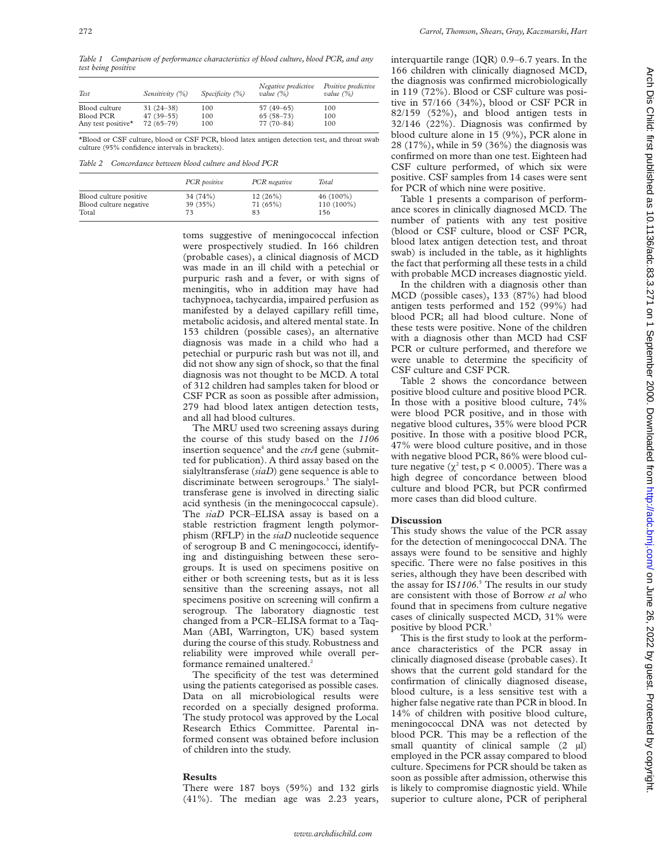*Table 1 Comparison of performance characteristics of blood culture, blood PCR, and any test being positive*

| Test               | Sensitivity (%) | Specificity $(\%)$ | Negative predictive<br>value $(\%)$ | Positive predictive<br>value $(\%)$ |
|--------------------|-----------------|--------------------|-------------------------------------|-------------------------------------|
| Blood culture      | $31(24-38)$     | 100                | $57(49-65)$                         | 100                                 |
| Blood PCR          | $47(39-55)$     | 100                | $65(58-73)$                         | 100                                 |
| Any test positive* | $72(65 - 79)$   | 100                | $77(70-84)$                         | 100                                 |

\*Blood or CSF culture, blood or CSF PCR, blood latex antigen detection test, and throat swab culture (95% confidence intervals in brackets).

*Table 2 Concordance between blood culture and blood PCR*

|                                 | PCR positive   | PCR negative   | Total             |
|---------------------------------|----------------|----------------|-------------------|
| Blood culture positive          | 34 (74%)       | 12(26%)        | $46(100\%)$       |
| Blood culture negative<br>Total | 39 (35%)<br>73 | 71 (65%)<br>83 | 110 (100%)<br>156 |

toms suggestive of meningococcal infection were prospectively studied. In 166 children (probable cases), a clinical diagnosis of MCD was made in an ill child with a petechial or purpuric rash and a fever, or with signs of meningitis, who in addition may have had tachypnoea, tachycardia, impaired perfusion as manifested by a delayed capillary refill time, metabolic acidosis, and altered mental state. In 153 children (possible cases), an alternative diagnosis was made in a child who had a petechial or purpuric rash but was not ill, and did not show any sign of shock, so that the final diagnosis was not thought to be MCD. A total of 312 children had samples taken for blood or CSF PCR as soon as possible after admission, 279 had blood latex antigen detection tests, and all had blood cultures.

The MRU used two screening assays during the course of this study based on the *1106* insertion sequence<sup>4</sup> and the  $\text{ctrA}$  gene (submitted for publication). A third assay based on the sialyltransferase (*siaD*) gene sequence is able to discriminate between serogroups.<sup>3</sup> The sialyltransferase gene is involved in directing sialic acid synthesis (in the meningococcal capsule). The *siaD* PCR–ELISA assay is based on a stable restriction fragment length polymorphism (RFLP) in the *siaD* nucleotide sequence of serogroup B and C meningococci, identifying and distinguishing between these serogroups. It is used on specimens positive on either or both screening tests, but as it is less sensitive than the screening assays, not all specimens positive on screening will confirm a serogroup. The laboratory diagnostic test changed from a PCR–ELISA format to a Taq-Man (ABI, Warrington, UK) based system during the course of this study. Robustness and reliability were improved while overall performance remained unaltered.<sup>2</sup>

The specificity of the test was determined using the patients categorised as possible cases. Data on all microbiological results were recorded on a specially designed proforma. The study protocol was approved by the Local Research Ethics Committee. Parental informed consent was obtained before inclusion of children into the study.

## **Results**

There were 187 boys (59%) and 132 girls (41%). The median age was 2.23 years, interquartile range (IQR) 0.9–6.7 years. In the 166 children with clinically diagnosed MCD, the diagnosis was confirmed microbiologically in 119 (72%). Blood or CSF culture was positive in 57/166 (34%), blood or CSF PCR in 82/159 (52%), and blood antigen tests in 32/146 (22%). Diagnosis was confirmed by blood culture alone in 15 (9%), PCR alone in 28 (17%), while in 59 (36%) the diagnosis was confirmed on more than one test. Eighteen had CSF culture performed, of which six were positive. CSF samples from 14 cases were sent for PCR of which nine were positive.

Table 1 presents a comparison of performance scores in clinically diagnosed MCD. The number of patients with any test positive (blood or CSF culture, blood or CSF PCR, blood latex antigen detection test, and throat swab) is included in the table, as it highlights the fact that performing all these tests in a child with probable MCD increases diagnostic yield.

In the children with a diagnosis other than MCD (possible cases), 133 (87%) had blood antigen tests performed and 152 (99%) had blood PCR; all had blood culture. None of these tests were positive. None of the children with a diagnosis other than MCD had CSF PCR or culture performed, and therefore we were unable to determine the specificity of CSF culture and CSF PCR.

Table 2 shows the concordance between positive blood culture and positive blood PCR. In those with a positive blood culture, 74% were blood PCR positive, and in those with negative blood cultures, 35% were blood PCR positive. In those with a positive blood PCR, 47% were blood culture positive, and in those with negative blood PCR, 86% were blood culture negative ( $\chi^2$  test, p < 0.0005). There was a high degree of concordance between blood culture and blood PCR, but PCR confirmed more cases than did blood culture.

#### **Discussion**

This study shows the value of the PCR assay for the detection of meningococcal DNA. The assays were found to be sensitive and highly specific. There were no false positives in this series, although they have been described with the assay for IS*1106*. <sup>5</sup> The results in our study are consistent with those of Borrow *et al* who found that in specimens from culture negative cases of clinically suspected MCD, 31% were positive by blood PCR.<sup>3</sup>

This is the first study to look at the performance characteristics of the PCR assay in clinically diagnosed disease (probable cases). It shows that the current gold standard for the confirmation of clinically diagnosed disease, blood culture, is a less sensitive test with a higher false negative rate than PCR in blood. In 14% of children with positive blood culture, meningococcal DNA was not detected by blood PCR. This may be a reflection of the small quantity of clinical sample  $(2 \mu l)$ employed in the PCR assay compared to blood culture. Specimens for PCR should be taken as soon as possible after admission, otherwise this is likely to compromise diagnostic yield. While superior to culture alone, PCR of peripheral